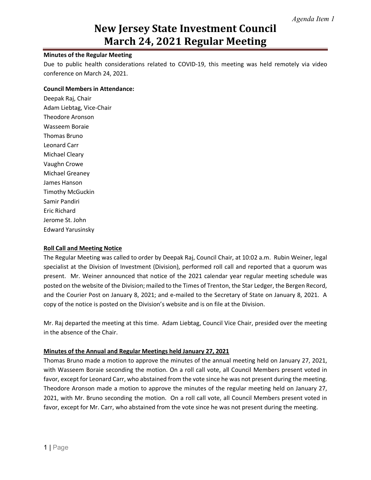## **Minutes of the Regular Meeting**

Due to public health considerations related to COVID-19, this meeting was held remotely via video conference on March 24, 2021.

### **Council Members in Attendance:**

Deepak Raj, Chair Adam Liebtag, Vice-Chair Theodore Aronson Wasseem Boraie Thomas Bruno Leonard Carr Michael Cleary Vaughn Crowe Michael Greaney James Hanson Timothy McGuckin Samir Pandiri Eric Richard Jerome St. John Edward Yarusinsky

## **Roll Call and Meeting Notice**

The Regular Meeting was called to order by Deepak Raj, Council Chair, at 10:02 a.m. Rubin Weiner, legal specialist at the Division of Investment (Division), performed roll call and reported that a quorum was present. Mr. Weiner announced that notice of the 2021 calendar year regular meeting schedule was posted on the website of the Division; mailed to the Times of Trenton, the Star Ledger, the Bergen Record, and the Courier Post on January 8, 2021; and e-mailed to the Secretary of State on January 8, 2021. A copy of the notice is posted on the Division's website and is on file at the Division.

Mr. Raj departed the meeting at this time. Adam Liebtag, Council Vice Chair, presided over the meeting in the absence of the Chair.

## **Minutes of the Annual and Regular Meetings held January 27, 2021**

Thomas Bruno made a motion to approve the minutes of the annual meeting held on January 27, 2021, with Wasseem Boraie seconding the motion. On a roll call vote, all Council Members present voted in favor, except for Leonard Carr, who abstained from the vote since he was not present during the meeting. Theodore Aronson made a motion to approve the minutes of the regular meeting held on January 27, 2021, with Mr. Bruno seconding the motion. On a roll call vote, all Council Members present voted in favor, except for Mr. Carr, who abstained from the vote since he was not present during the meeting.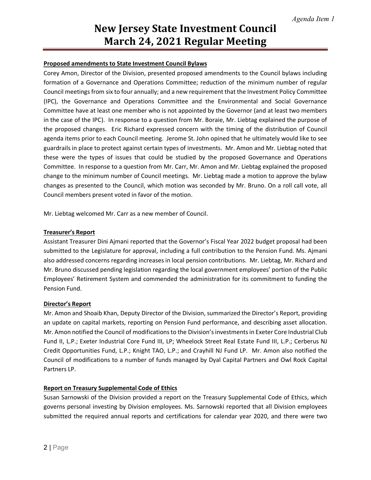### **Proposed amendments to State Investment Council Bylaws**

Corey Amon, Director of the Division, presented proposed amendments to the Council bylaws including formation of a Governance and Operations Committee; reduction of the minimum number of regular Council meetings from six to four annually; and a new requirement that the Investment Policy Committee (IPC), the Governance and Operations Committee and the Environmental and Social Governance Committee have at least one member who is not appointed by the Governor (and at least two members in the case of the IPC). In response to a question from Mr. Boraie, Mr. Liebtag explained the purpose of the proposed changes. Eric Richard expressed concern with the timing of the distribution of Council agenda items prior to each Council meeting. Jerome St. John opined that he ultimately would like to see guardrails in place to protect against certain types of investments. Mr. Amon and Mr. Liebtag noted that these were the types of issues that could be studied by the proposed Governance and Operations Committee. In response to a question from Mr. Carr, Mr. Amon and Mr. Liebtag explained the proposed change to the minimum number of Council meetings. Mr. Liebtag made a motion to approve the bylaw changes as presented to the Council, which motion was seconded by Mr. Bruno. On a roll call vote, all Council members present voted in favor of the motion.

Mr. Liebtag welcomed Mr. Carr as a new member of Council.

### **Treasurer's Report**

Assistant Treasurer Dini Ajmani reported that the Governor's Fiscal Year 2022 budget proposal had been submitted to the Legislature for approval, including a full contribution to the Pension Fund. Ms. Ajmani also addressed concerns regarding increases in local pension contributions. Mr. Liebtag, Mr. Richard and Mr. Bruno discussed pending legislation regarding the local government employees' portion of the Public Employees' Retirement System and commended the administration for its commitment to funding the Pension Fund.

### **Director's Report**

Mr. Amon and Shoaib Khan, Deputy Director of the Division, summarized the Director's Report, providing an update on capital markets, reporting on Pension Fund performance, and describing asset allocation. Mr. Amon notified the Council of modifications to the Division's investmentsin Exeter Core Industrial Club Fund II, L.P.; Exeter Industrial Core Fund III, LP; Wheelock Street Real Estate Fund III, L.P.; Cerberus NJ Credit Opportunities Fund, L.P.; Knight TAO, L.P.; and Crayhill NJ Fund LP. Mr. Amon also notified the Council of modifications to a number of funds managed by Dyal Capital Partners and Owl Rock Capital Partners LP.

## **Report on Treasury Supplemental Code of Ethics**

Susan Sarnowski of the Division provided a report on the Treasury Supplemental Code of Ethics, which governs personal investing by Division employees. Ms. Sarnowski reported that all Division employees submitted the required annual reports and certifications for calendar year 2020, and there were two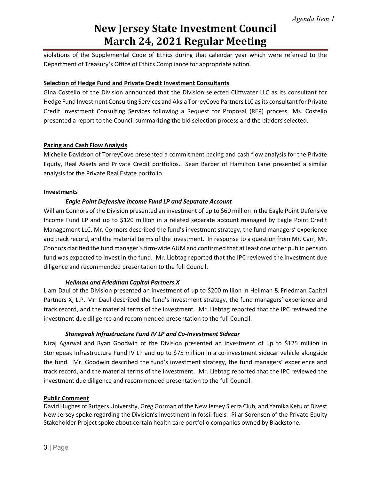violations of the Supplemental Code of Ethics during that calendar year which were referred to the Department of Treasury's Office of Ethics Compliance for appropriate action.

## **Selection of Hedge Fund and Private Credit Investment Consultants**

Gina Costello of the Division announced that the Division selected Cliffwater LLC as its consultant for Hedge Fund Investment Consulting Services and Aksia TorreyCove Partners LLC as its consultant for Private Credit Investment Consulting Services following a Request for Proposal (RFP) process. Ms. Costello presented a report to the Council summarizing the bid selection process and the bidders selected.

### **Pacing and Cash Flow Analysis**

Michelle Davidson of TorreyCove presented a commitment pacing and cash flow analysis for the Private Equity, Real Assets and Private Credit portfolios. Sean Barber of Hamilton Lane presented a similar analysis for the Private Real Estate portfolio.

### **Investments**

## *Eagle Point Defensive Income Fund LP and Separate Account*

William Connors of the Division presented an investment of up to \$60 million in the Eagle Point Defensive Income Fund LP and up to \$120 million in a related separate account managed by Eagle Point Credit Management LLC. Mr. Connors described the fund's investment strategy, the fund managers' experience and track record, and the material terms of the investment. In response to a question from Mr. Carr, Mr. Connors clarified the fund manager's firm-wide AUM and confirmed that at least one other public pension fund was expected to invest in the fund. Mr. Liebtag reported that the IPC reviewed the investment due diligence and recommended presentation to the full Council.

### *Hellman and Friedman Capital Partners X*

Liam Daul of the Division presented an investment of up to \$200 million in Hellman & Friedman Capital Partners X, L.P. Mr. Daul described the fund's investment strategy, the fund managers' experience and track record, and the material terms of the investment. Mr. Liebtag reported that the IPC reviewed the investment due diligence and recommended presentation to the full Council.

### *Stonepeak Infrastructure Fund IV LP and Co-Investment Sidecar*

Niraj Agarwal and Ryan Goodwin of the Division presented an investment of up to \$125 million in Stonepeak Infrastructure Fund IV LP and up to \$75 million in a co-investment sidecar vehicle alongside the fund. Mr. Goodwin described the fund's investment strategy, the fund managers' experience and track record, and the material terms of the investment. Mr. Liebtag reported that the IPC reviewed the investment due diligence and recommended presentation to the full Council.

### **Public Comment**

David Hughes of Rutgers University, Greg Gorman of the New Jersey Sierra Club, and Yamika Ketu of Divest New Jersey spoke regarding the Division's investment in fossil fuels. Pilar Sorensen of the Private Equity Stakeholder Project spoke about certain health care portfolio companies owned by Blackstone.